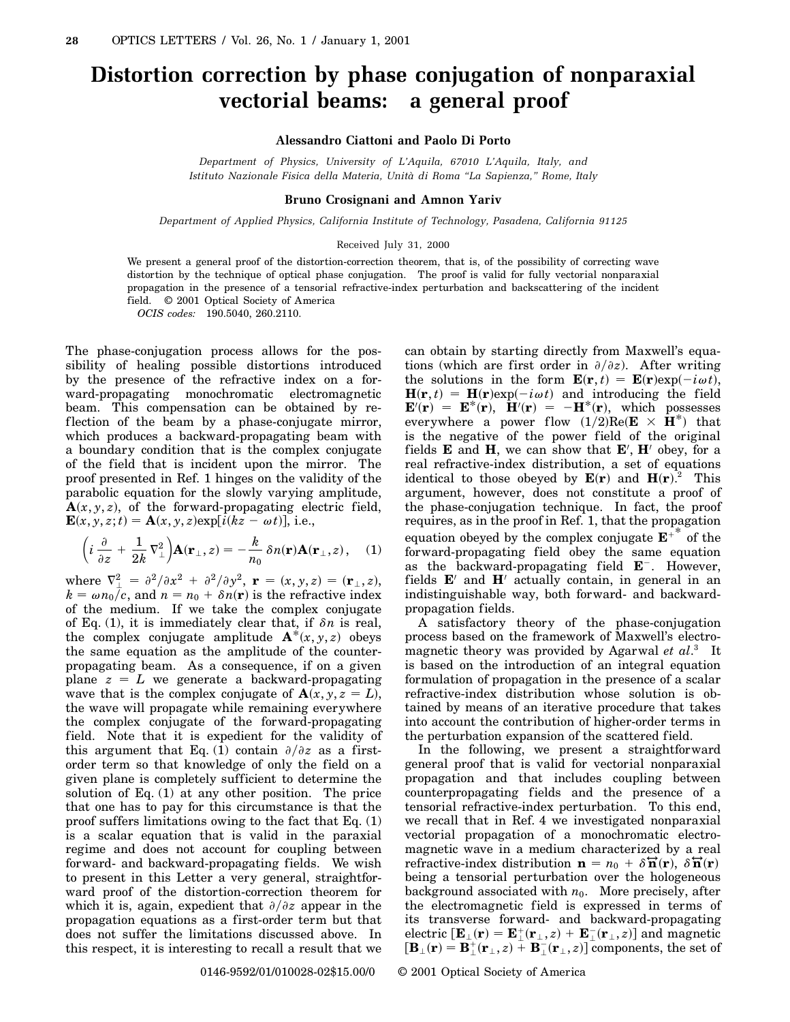## **Distortion correction by phase conjugation of nonparaxial vectorial beams: a general proof**

**Alessandro Ciattoni and Paolo Di Porto**

*Department of Physics, University of L'Aquila, 67010 L'Aquila, Italy, and Istituto Nazionale Fisica della Materia, Unità di Roma "La Sapienza," Rome, Italy*

## **Bruno Crosignani and Amnon Yariv**

*Department of Applied Physics, California Institute of Technology, Pasadena, California 91125*

## Received July 31, 2000

We present a general proof of the distortion-correction theorem, that is, of the possibility of correcting wave distortion by the technique of optical phase conjugation. The proof is valid for fully vectorial nonparaxial propagation in the presence of a tensorial refractive-index perturbation and backscattering of the incident field. © 2001 Optical Society of America *OCIS codes:* 190.5040, 260.2110.

The phase-conjugation process allows for the possibility of healing possible distortions introduced by the presence of the refractive index on a forward-propagating monochromatic electromagnetic beam. This compensation can be obtained by reflection of the beam by a phase-conjugate mirror, which produces a backward-propagating beam with a boundary condition that is the complex conjugate of the field that is incident upon the mirror. The proof presented in Ref. 1 hinges on the validity of the parabolic equation for the slowly varying amplitude,  $A(x, y, z)$ , of the forward-propagating electric field,  **i.e.,** 

$$
\left(i\frac{\partial}{\partial z} + \frac{1}{2k}\nabla_{\perp}^{2}\right) \mathbf{A}(\mathbf{r}_{\perp}, z) = -\frac{k}{n_{0}}\delta n(\mathbf{r}) \mathbf{A}(\mathbf{r}_{\perp}, z), \quad (1)
$$

where  $\nabla^2_{\perp} = \frac{\partial^2}{\partial x^2} + \frac{\partial^2}{\partial y^2}$ ,  $\mathbf{r} = (x, y, z) = (\mathbf{r}_{\perp}, z)$ ,  $k = \omega n_0/c$ , and  $n = n_0 + \delta n(\mathbf{r})$  is the refractive index of the medium. If we take the complex conjugate of Eq. (1), it is immediately clear that, if  $\delta n$  is real, the complex conjugate amplitude  $\mathbf{A}^*(x, y, z)$  obeys the same equation as the amplitude of the counterpropagating beam. As a consequence, if on a given plane  $z = L$  we generate a backward-propagating wave that is the complex conjugate of  $\mathbf{A}(x, y, z = L)$ , the wave will propagate while remaining everywhere the complex conjugate of the forward-propagating field. Note that it is expedient for the validity of this argument that Eq. (1) contain  $\partial/\partial z$  as a firstorder term so that knowledge of only the field on a given plane is completely sufficient to determine the solution of Eq.  $(1)$  at any other position. The price that one has to pay for this circumstance is that the proof suffers limitations owing to the fact that Eq. (1) is a scalar equation that is valid in the paraxial regime and does not account for coupling between forward- and backward-propagating fields. We wish to present in this Letter a very general, straightforward proof of the distortion-correction theorem for which it is, again, expedient that  $\partial/\partial z$  appear in the propagation equations as a first-order term but that does not suffer the limitations discussed above. In this respect, it is interesting to recall a result that we can obtain by starting directly from Maxwell's equations (which are first order in  $\partial/\partial z$ ). After writing the solutions in the form  $\mathbf{E}(\mathbf{r},t) = \mathbf{E}(\mathbf{r}) \exp(-i\omega t),$  $\mathbf{H}(\mathbf{r},t) = \mathbf{H}(\mathbf{r}) \exp(-i\omega t)$  and introducing the field  $\mathbf{E}'(\mathbf{r}) = \mathbf{E}^*(\mathbf{r}), \ \mathbf{H}'(\mathbf{r}) = -\mathbf{H}^*(\mathbf{r}), \ \text{which possesses}$ everywhere a power flow  $(1/2)$ Re( $\mathbf{E} \times \mathbf{H}^*$ ) that is the negative of the power field of the original fields  $\bf{E}$  and  $\bf{H}$ , we can show that  $\bf{E}'$ ,  $\bf{H}'$  obey, for a real refractive-index distribution, a set of equations identical to those obeyed by  $\mathbf{E}(\mathbf{r})$  and  $\mathbf{H}(\mathbf{r})$ .<sup>2</sup> This argument, however, does not constitute a proof of the phase-conjugation technique. In fact, the proof requires, as in the proof in Ref. 1, that the propagation equation obeyed by the complex conjugate  $E^{+}$ <sup>\*</sup> of the forward-propagating field obey the same equation as the backward-propagating field  $E^-$ . However, fields  $E'$  and  $H'$  actually contain, in general in an indistinguishable way, both forward- and backwardpropagation fields.

A satisfactory theory of the phase-conjugation process based on the framework of Maxwell's electromagnetic theory was provided by Agarwal *et al*. <sup>3</sup> It is based on the introduction of an integral equation formulation of propagation in the presence of a scalar refractive-index distribution whose solution is obtained by means of an iterative procedure that takes into account the contribution of higher-order terms in the perturbation expansion of the scattered field.

In the following, we present a straightforward general proof that is valid for vectorial nonparaxial propagation and that includes coupling between counterpropagating fields and the presence of a tensorial refractive-index perturbation. To this end, we recall that in Ref. 4 we investigated nonparaxial vectorial propagation of a monochromatic electromagnetic wave in a medium characterized by a real refractive-index distribution  $\mathbf{n} = n_0 + \delta \mathbf{\vec{n}}(\mathbf{r}), \delta \mathbf{\vec{n}}(\mathbf{r})$ being a tensorial perturbation over the hologeneous background associated with  $n_0$ . More precisely, after the electromagnetic field is expressed in terms of its transverse forward- and backward-propagating  $\mathbf{E}_{\perp}(\mathbf{r}) = \mathbf{E}_{\perp}^{+}(\mathbf{r}_{\perp},z) + \mathbf{E}_{\perp}^{-}(\mathbf{r}_{\perp},z)]$  and magnetic  $\left[\mathbf{B}_{\perp}(\mathbf{r})=\mathbf{B}_{\perp}^{+}(\mathbf{r}_{\perp},z)+\mathbf{B}_{\perp}^{-}(\mathbf{r}_{\perp},z)\right]$  components, the set of